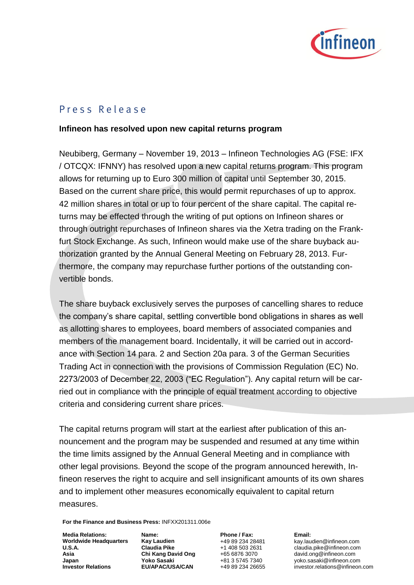

## P r e s s R e l e a s e

## **Infineon has resolved upon new capital returns program**

Neubiberg, Germany – November 19, 2013 – Infineon Technologies AG (FSE: IFX / OTCQX: IFNNY) has resolved upon a new capital returns program. This program allows for returning up to Euro 300 million of capital until September 30, 2015. Based on the current share price, this would permit repurchases of up to approx. 42 million shares in total or up to four percent of the share capital. The capital returns may be effected through the writing of put options on Infineon shares or through outright repurchases of Infineon shares via the Xetra trading on the Frankfurt Stock Exchange. As such, Infineon would make use of the share buyback authorization granted by the Annual General Meeting on February 28, 2013. Furthermore, the company may repurchase further portions of the outstanding convertible bonds.

The share buyback exclusively serves the purposes of cancelling shares to reduce the company's share capital, settling convertible bond obligations in shares as well as allotting shares to employees, board members of associated companies and members of the management board. Incidentally, it will be carried out in accordance with Section 14 para. 2 and Section 20a para. 3 of the German Securities Trading Act in connection with the provisions of Commission Regulation (EC) No. 2273/2003 of December 22, 2003 ("EC Regulation"). Any capital return will be carried out in compliance with the principle of equal treatment according to objective criteria and considering current share prices.

The capital returns program will start at the earliest after publication of this announcement and the program may be suspended and resumed at any time within the time limits assigned by the Annual General Meeting and in compliance with other legal provisions. Beyond the scope of the program announced herewith, Infineon reserves the right to acquire and sell insignificant amounts of its own shares and to implement other measures economically equivalent to capital return measures.

**For the Finance and Business Press:** INFXX201311.006e

**Media Relations: Worldwide Headquarters U.S.A. Asia Japan Investor Relations**

**Name: Kay Laudien Claudia Pike Chi Kang David Ong Yoko Sasaki EU/APAC/USA/CAN**

**Phone / Fax:** +49 89 234 28481 +1 408 503 2631 +65 6876 3070 +81 3 5745 7340 +49 89 234 26655 **Email:**

kay.laudien@infineon.com claudia.pik[e@infineon.com](mailto:matt.schmidt@infineon.com) [david.ong@infineon.com](mailto:david.ong@infineon.com) yoko.sasaki@infineon.com [investor.relations@infineon.com](mailto:investor.relations@infineon.com)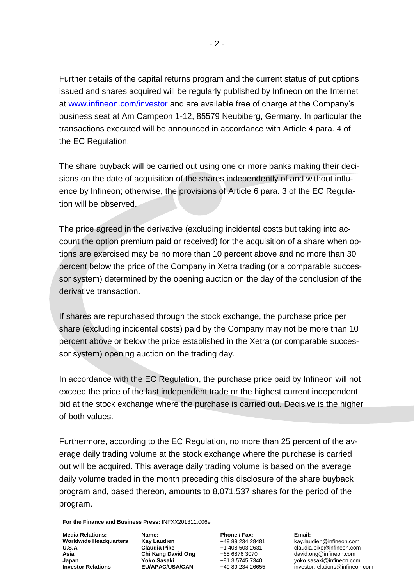Further details of the capital returns program and the current status of put options issued and shares acquired will be regularly published by Infineon on the Internet at [www.infineon.com/investor](http://www.infineon.com/investor) and are available free of charge at the Company's business seat at Am Campeon 1-12, 85579 Neubiberg, Germany. In particular the transactions executed will be announced in accordance with Article 4 para. 4 of the EC Regulation.

The share buyback will be carried out using one or more banks making their decisions on the date of acquisition of the shares independently of and without influence by Infineon; otherwise, the provisions of Article 6 para. 3 of the EC Regulation will be observed.

The price agreed in the derivative (excluding incidental costs but taking into account the option premium paid or received) for the acquisition of a share when options are exercised may be no more than 10 percent above and no more than 30 percent below the price of the Company in Xetra trading (or a comparable successor system) determined by the opening auction on the day of the conclusion of the derivative transaction.

If shares are repurchased through the stock exchange, the purchase price per share (excluding incidental costs) paid by the Company may not be more than 10 percent above or below the price established in the Xetra (or comparable successor system) opening auction on the trading day.

In accordance with the EC Regulation, the purchase price paid by Infineon will not exceed the price of the last independent trade or the highest current independent bid at the stock exchange where the purchase is carried out. Decisive is the higher of both values.

Furthermore, according to the EC Regulation, no more than 25 percent of the average daily trading volume at the stock exchange where the purchase is carried out will be acquired. This average daily trading volume is based on the average daily volume traded in the month preceding this disclosure of the share buyback program and, based thereon, amounts to 8,071,537 shares for the period of the program.

**For the Finance and Business Press:** INFXX201311.006e

**Media Relations: Worldwide Headquarters U.S.A. Asia Japan Investor Relations**

**Name: Kay Laudien Claudia Pike Chi Kang David Ong Yoko Sasaki EU/APAC/USA/CAN**

**Phone / Fax:** +49 89 234 28481 +1 408 503 2631 +65 6876 3070 +81 3 5745 7340 +49 89 234 26655 **Email:**

kay.laudien@infineon.com claudia.pik[e@infineon.com](mailto:matt.schmidt@infineon.com) [david.ong@infineon.com](mailto:david.ong@infineon.com) yoko.sasaki@infineon.com [investor.relations@infineon.com](mailto:investor.relations@infineon.com)